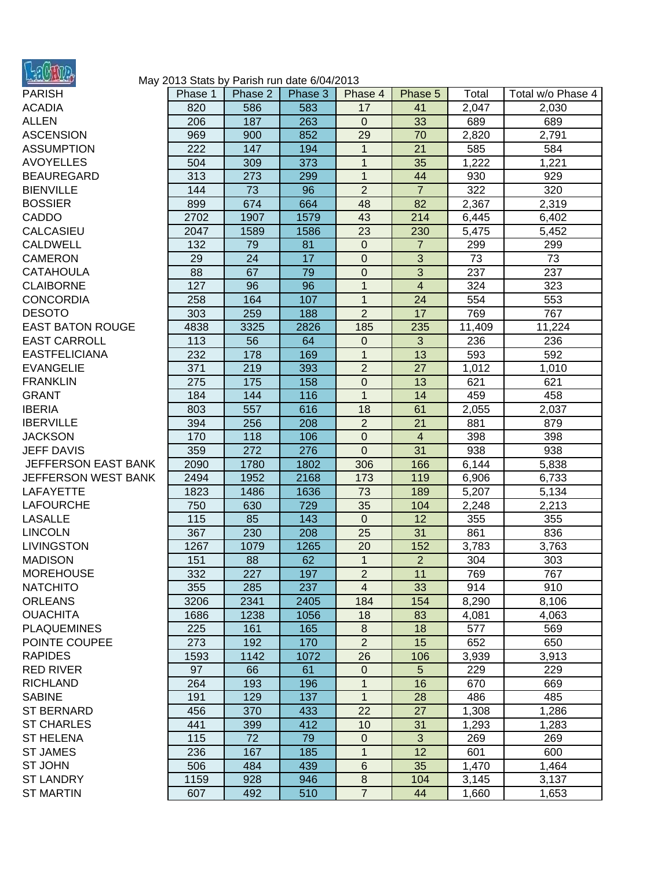

## May 2013 Stats by Parish run date 6/04/2013

| <b>PARISH</b>           | Phase 1 | Phase 2          | Phase 3 | Phase 4          | Phase 5        | Total  | Total w/o Phase 4 |
|-------------------------|---------|------------------|---------|------------------|----------------|--------|-------------------|
| <b>ACADIA</b>           | 820     | 586              | 583     | 17               | 41             | 2,047  | 2,030             |
| ALLEN                   | 206     | 187              | 263     | $\pmb{0}$        | 33             | 689    | 689               |
| <b>ASCENSION</b>        | 969     | 900              | 852     | 29               | 70             | 2,820  | 2,791             |
| <b>ASSUMPTION</b>       | 222     | 147              | 194     | $\mathbf{1}$     | 21             | 585    | 584               |
| <b>AVOYELLES</b>        | 504     | 309              | 373     | $\mathbf{1}$     | 35             | 1,222  | 1,221             |
| BEAUREGARD              | 313     | 273              | 299     | $\mathbf{1}$     | 44             | 930    | 929               |
| <b>BIENVILLE</b>        | 144     | 73               | 96      | $\overline{2}$   | $\overline{7}$ | 322    | 320               |
| <b>BOSSIER</b>          | 899     | 674              | 664     | 48               | 82             | 2,367  | 2,319             |
| CADDO                   | 2702    | 1907             | 1579    | 43               | 214            | 6,445  | 6,402             |
| CALCASIEU               | 2047    | 1589             | 1586    | 23               | 230            | 5,475  | 5,452             |
| <b>CALDWELL</b>         | 132     | 79               | 81      | $\boldsymbol{0}$ | $\overline{7}$ | 299    | 299               |
| <b>CAMERON</b>          | 29      | 24               | 17      | $\boldsymbol{0}$ | 3              | 73     | 73                |
| <b>CATAHOULA</b>        | 88      | 67               | 79      | $\mathbf 0$      | $\overline{3}$ | 237    | 237               |
| <b>CLAIBORNE</b>        | 127     | 96               | 96      | $\mathbf{1}$     | $\overline{4}$ | 324    | 323               |
| <b>CONCORDIA</b>        | 258     | 164              | 107     | $\mathbf{1}$     | 24             | 554    | 553               |
| <b>DESOTO</b>           | 303     | 259              | 188     | $\overline{2}$   | 17             | 769    | 767               |
| <b>EAST BATON ROUGE</b> | 4838    | 3325             | 2826    | 185              | 235            | 11,409 | 11,224            |
| <b>EAST CARROLL</b>     | 113     | 56               | 64      | $\pmb{0}$        | 3              | 236    | 236               |
| <b>EASTFELICIANA</b>    | 232     | 178              | 169     | $\mathbf{1}$     | 13             | 593    | 592               |
| <b>EVANGELIE</b>        | 371     | 219              | 393     | $\overline{2}$   | 27             | 1,012  | 1,010             |
| <b>FRANKLIN</b>         | 275     | 175              | 158     | $\mathbf 0$      | 13             | 621    | 621               |
| <b>GRANT</b>            | 184     | 144              | 116     | $\mathbf{1}$     | 14             | 459    | 458               |
| <b>IBERIA</b>           | 803     | 557              | 616     | 18               | 61             | 2,055  | 2,037             |
| <b>IBERVILLE</b>        | 394     | 256              | 208     | $\overline{2}$   | 21             | 881    | 879               |
| <b>JACKSON</b>          | 170     | 118              | 106     | $\boldsymbol{0}$ | $\overline{4}$ | 398    | 398               |
| <b>JEFF DAVIS</b>       | 359     | $\overline{272}$ | 276     | $\overline{0}$   | 31             | 938    | 938               |
| JEFFERSON EAST BANK     | 2090    | 1780             | 1802    | 306              | 166            | 6,144  | 5,838             |
| JEFFERSON WEST BANK     | 2494    | 1952             | 2168    | 173              | 119            | 6,906  | 6,733             |
| LAFAYETTE               | 1823    | 1486             | 1636    | 73               | 189            | 5,207  | 5,134             |
| LAFOURCHE               | 750     | 630              | 729     | 35               | 104            | 2,248  | 2,213             |
| <b>LASALLE</b>          | 115     | 85               | 143     | $\mathbf 0$      | 12             | 355    | 355               |
| <b>LINCOLN</b>          | 367     | 230              | 208     | 25               | 31             | 861    | 836               |
| LIVINGSTON              | 1267    | 1079             | 1265    | 20               | 152            | 3,783  | 3,763             |
| MADISON                 | 151     | 88               | 62      | $\mathbf{1}$     | $\overline{2}$ | 304    | 303               |
| <b>MOREHOUSE</b>        | 332     | 227              | 197     | $\overline{2}$   | 11             | 769    | 767               |
| NATCHITO                | 355     | 285              | 237     | $\overline{4}$   | 33             | 914    | 910               |
| <b>ORLEANS</b>          | 3206    | 2341             | 2405    | 184              | 154            | 8,290  | 8,106             |
| <b>OUACHITA</b>         | 1686    | 1238             | 1056    | 18               | 83             | 4,081  | 4,063             |
| <b>PLAQUEMINES</b>      | 225     | 161              | 165     | 8                | 18             | 577    | 569               |
| POINTE COUPEE           | 273     | 192              | 170     | $\overline{2}$   | 15             | 652    | 650               |
| <b>RAPIDES</b>          | 1593    | 1142             | 1072    | 26               | 106            | 3,939  | 3,913             |
| <b>RED RIVER</b>        | 97      | 66               | 61      | $\pmb{0}$        | 5              | 229    | 229               |
| <b>RICHLAND</b>         | 264     | 193              | 196     | $\mathbf{1}$     | 16             | 670    | 669               |
| <b>SABINE</b>           | 191     | 129              | 137     | $\mathbf{1}$     | 28             | 486    | 485               |
| <b>ST BERNARD</b>       | 456     | 370              | 433     | 22               | 27             | 1,308  | 1,286             |
| <b>ST CHARLES</b>       | 441     | 399              | 412     | 10               | 31             | 1,293  | 1,283             |
| <b>ST HELENA</b>        | 115     | 72               | 79      | $\boldsymbol{0}$ | 3              | 269    | 269               |
| <b>ST JAMES</b>         | 236     | 167              | 185     | $\mathbf{1}$     | 12             | 601    | 600               |
| ST JOHN                 | 506     | 484              | 439     | $\,6$            | 35             | 1,470  | 1,464             |
| ST LANDRY               | 1159    | 928              | 946     | $\bf 8$          | 104            | 3,145  | 3,137             |
| <b>ST MARTIN</b>        | 607     | 492              | 510     | $\overline{7}$   | 44             | 1,660  | 1,653             |
|                         |         |                  |         |                  |                |        |                   |